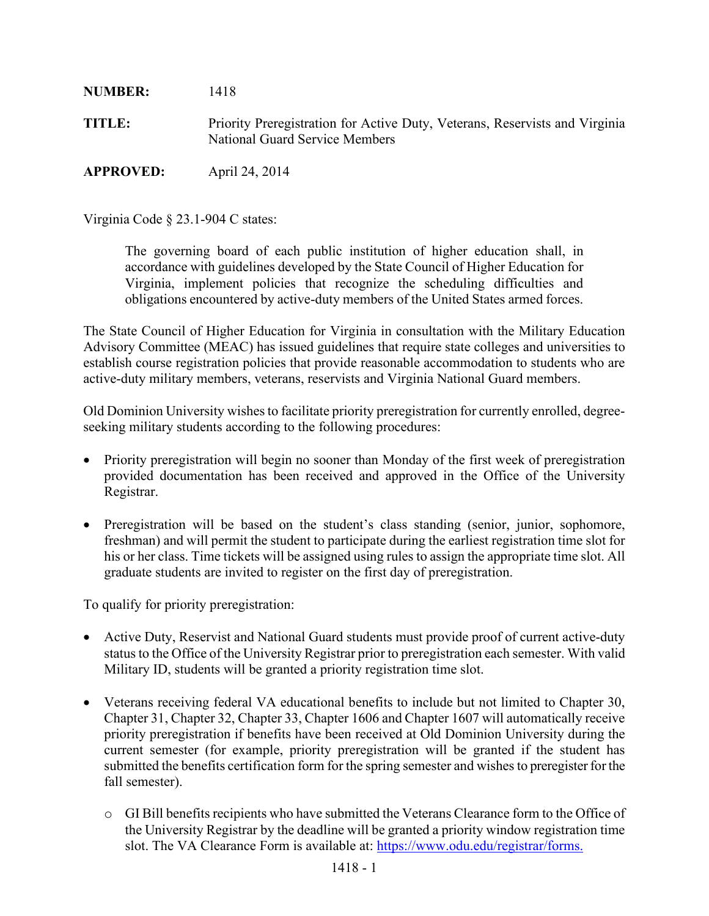**NUMBER:** 1418 **TITLE:** Priority Preregistration for Active Duty, Veterans, Reservists and Virginia National Guard Service Members **APPROVED:** April 24, 2014

Virginia Code § 23.1-904 C states:

The governing board of each public institution of higher education shall, in accordance with guidelines developed by the State Council of Higher Education for Virginia, implement policies that recognize the scheduling difficulties and obligations encountered by active-duty members of the United States armed forces.

The State Council of Higher Education for Virginia in consultation with the Military Education Advisory Committee (MEAC) has issued guidelines that require state colleges and universities to establish course registration policies that provide reasonable accommodation to students who are active-duty military members, veterans, reservists and Virginia National Guard members.

Old Dominion University wishes to facilitate priority preregistration for currently enrolled, degreeseeking military students according to the following procedures:

- Priority preregistration will begin no sooner than Monday of the first week of preregistration provided documentation has been received and approved in the Office of the University Registrar.
- Preregistration will be based on the student's class standing (senior, junior, sophomore, freshman) and will permit the student to participate during the earliest registration time slot for his or her class. Time tickets will be assigned using rules to assign the appropriate time slot. All graduate students are invited to register on the first day of preregistration.

To qualify for priority preregistration:

- Active Duty, Reservist and National Guard students must provide proof of current active-duty status to the Office of the University Registrar prior to preregistration each semester. With valid Military ID, students will be granted a priority registration time slot.
- Veterans receiving federal VA educational benefits to include but not limited to Chapter 30, Chapter 31, Chapter 32, Chapter 33, Chapter 1606 and Chapter 1607 will automatically receive priority preregistration if benefits have been received at Old Dominion University during the current semester (for example, priority preregistration will be granted if the student has submitted the benefits certification form for the spring semester and wishes to preregister for the fall semester).
	- o GI Bill benefits recipients who have submitted the Veterans Clearance form to the Office of the University Registrar by the deadline will be granted a priority window registration time slot. The VA Clearance Form is available at: [https://www.odu.edu/registrar/forms.](https://www.odu.edu/registrar/forms)